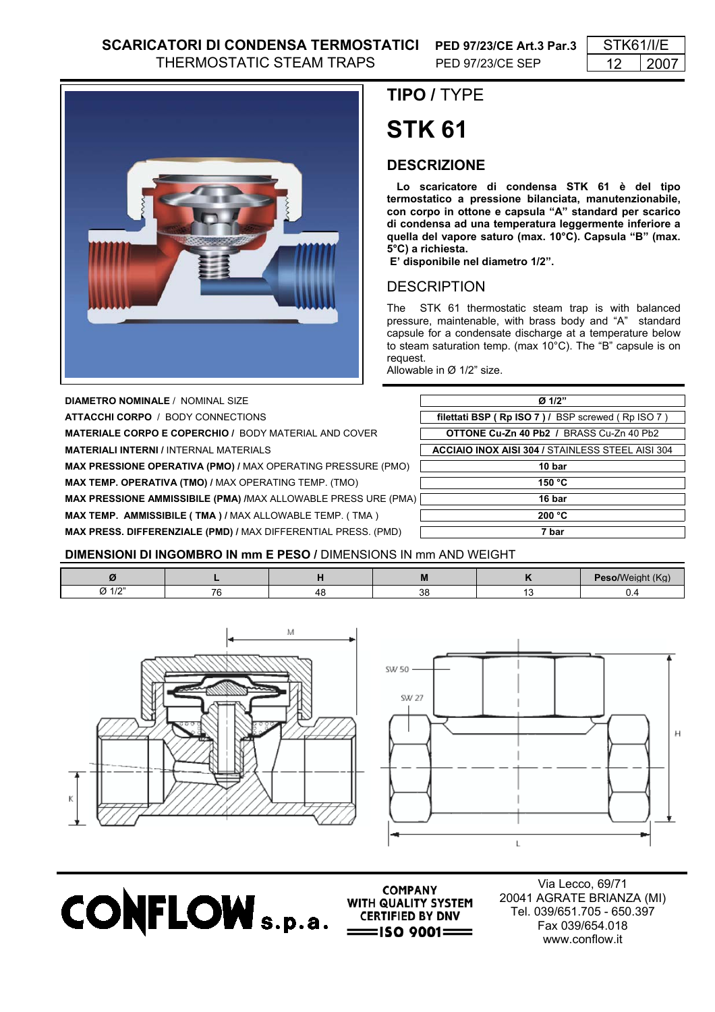

**DIAMETRO NOMINALE** / NOMINAL SIZE

**ATTACCHI CORPO / BODY CONNECTIONS** 

**MATERIALE CORPO E COPERCHIO / BODY MATERIAL AND COVER** 

**MATERIALI INTERNI / INTERNAL MATERIALS** 

**MAX PRESSIONE OPERATIVA (PMO) / MAX OPERATING PRESSURE (PMO)** 

**MAX TEMP. OPERATIVA (TMO) / MAX OPERATING TEMP. (TMO)** 

**MAX PRESSIONE AMMISSIBILE (PMA) /**MAX ALLOWABLE PRESS URE (PMA) **16 bar MAX TEMP. AMMISSIBILE (TMA) / MAX ALLOWABLE TEMP. (TMA)** 

**MAX PRESS. DIFFERENZIALE (PMD) /** MAX DIFFERENTIAL PRESS. (PMD) **7 bar**

# **TIPO /** TYPE

# **STK 61**

### **DESCRIZIONE**

 **Lo scaricatore di condensa STK 61 è del tipo termostatico a pressione bilanciata, manutenzionabile, con corpo in ottone e capsula "A" standard per scarico di condensa ad una temperatura leggermente inferiore a quella del vapore saturo (max. 10°C). Capsula "B" (max. 5°C) a richiesta.**

 **E' disponibile nel diametro 1/2".**

## **DESCRIPTION**

The STK 61 thermostatic steam trap is with balanced pressure, maintenable, with brass body and "A" standard capsule for a condensate discharge at a temperature below to steam saturation temp. (max 10°C). The "B" capsule is on request.

Allowable in Ø 1/2" size.

| $Q$ 1/2"                                                |  |  |  |  |
|---------------------------------------------------------|--|--|--|--|
|                                                         |  |  |  |  |
| filettati BSP (Rp ISO 7) / BSP screwed (Rp ISO 7)       |  |  |  |  |
| <b>OTTONE Cu-Zn 40 Pb2 / BRASS Cu-Zn 40 Pb2</b>         |  |  |  |  |
| <b>ACCIAIO INOX AISI 304 / STAINLESS STEEL AISI 304</b> |  |  |  |  |
| 10 bar                                                  |  |  |  |  |
| 150 °C                                                  |  |  |  |  |
| 16 bar                                                  |  |  |  |  |
| 200 °C                                                  |  |  |  |  |
| 7 bar                                                   |  |  |  |  |

#### **DIMENSIONI DI INGOMBRO IN mm E PESO /** DIMENSIONS IN mm AND WEIGHT

| $\sim$ | $-$ |  |  |
|--------|-----|--|--|





**CONFLOW** s.p.a. **SUBBER THEIRD BY DNV** 

**COMPANY** WITH QUALITY SYSTEM  $=$ ISO 9001 $=$ 

Via Lecco, 69/71 20041 AGRATE BRIANZA (MI) Tel. 039/651.705 - 650.397 Fax 039/654.018 www.conflow.it